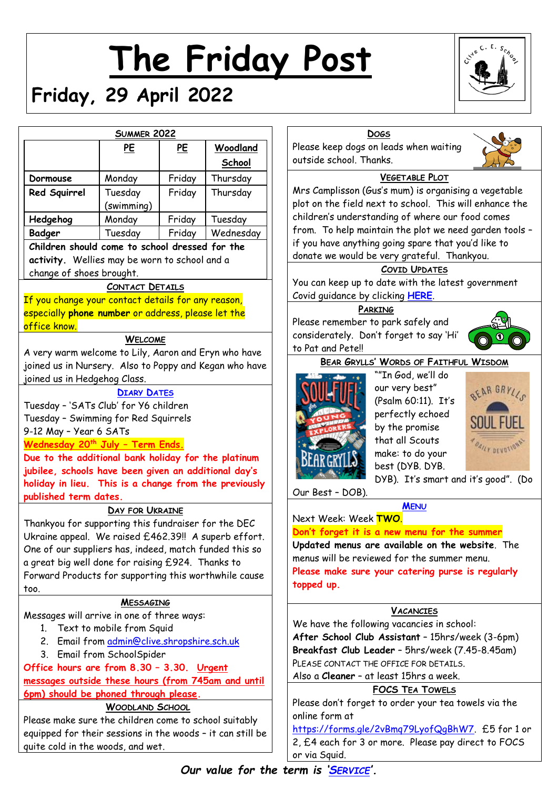# **The Friday Post**

# **Friday, 29 April 2022**



|                                                                                                            | <b>SUMMER 2022</b>    |           |                    |                               |
|------------------------------------------------------------------------------------------------------------|-----------------------|-----------|--------------------|-------------------------------|
|                                                                                                            | Please keep           |           |                    |                               |
|                                                                                                            | <u>PE</u>             | <u>PE</u> | Woodland<br>School | outside scho                  |
| Dormouse                                                                                                   | Monday                | Friday    | Thursday           |                               |
| Red Squirrel                                                                                               | Tuesday<br>(swimming) | Friday    | Thursday           | Mrs Campliss<br>plot on the f |
| Hedgehog                                                                                                   | Monday                | Friday    | Tuesday            | children's un                 |
| Badger                                                                                                     | Tuesday               | Friday    | Wednesday          | from. To he                   |
| Children should come to school dressed for the                                                             | if you have a         |           |                    |                               |
| activity. Wellies may be worn to school and a<br>change of shoes brought.                                  |                       |           |                    | donate we we                  |
|                                                                                                            | You can keep          |           |                    |                               |
| If you change your contact details for any reason,                                                         | Covid guidan          |           |                    |                               |
| especially phone number or address, please let the                                                         |                       |           |                    |                               |
| office know.                                                                                               | Please remer          |           |                    |                               |
|                                                                                                            | consideratel          |           |                    |                               |
| A very warm welcome to Lily, Aaron and Eryn who have                                                       | to Pat and Pe         |           |                    |                               |
| joined us in Nursery. Also to Poppy and Kegan who have                                                     | <b>BEAR</b>           |           |                    |                               |
| joined us in Hedgehog Class.                                                                               |                       |           |                    |                               |
|                                                                                                            |                       |           |                    |                               |
| Tuesday - 'SATs Club' for Y6 children                                                                      |                       |           |                    |                               |
| Tuesday - Swimming for Red Squirrels                                                                       |                       |           |                    |                               |
| 9-12 May - Year 6 SATs                                                                                     |                       |           |                    |                               |
| <u> Wednesday 20<sup>th</sup> July - Term Ends.</u>                                                        |                       |           |                    |                               |
| Due to the additional bank holiday for the platinum                                                        |                       |           |                    |                               |
| jubilee, schools have been given an additional day's                                                       |                       |           |                    |                               |
| holiday in lieu. This is a change from the previously                                                      | Our Best - D          |           |                    |                               |
| published term dates.                                                                                      | DAY FOR UKRAINE       |           |                    |                               |
|                                                                                                            | Next Week:            |           |                    |                               |
| Thankyou for supporting this fundraiser for the DEC                                                        | Don't forget          |           |                    |                               |
| Ukraine appeal. We raised £462.39!! A superb effort.                                                       | <b>Updated</b> me     |           |                    |                               |
| One of our suppliers has, indeed, match funded this so                                                     | menus will be         |           |                    |                               |
| a great big well done for raising £924. Thanks to<br>Forward Products for supporting this worthwhile cause | Please make           |           |                    |                               |
| too.                                                                                                       |                       |           |                    | topped up.                    |
|                                                                                                            | <b>MESSAGING</b>      |           |                    |                               |
| Messages will arrive in one of three ways:                                                                 |                       |           |                    |                               |
| 1. Text to mobile from Squid                                                                               |                       |           |                    | We have the                   |
| Email from admin@clive.shropshire.sch.uk<br>2.                                                             |                       |           |                    | After Schoo                   |
| 3. Email from SchoolSpider                                                                                 | Breakfast C           |           |                    |                               |
| Office hours are from 8.30 - 3.30. Urgent                                                                  | PLEASE CONT           |           |                    |                               |
| messages outside these hours (from 745am and until                                                         | Also a Cleano         |           |                    |                               |
| 6pm) should be phoned through please.                                                                      |                       |           |                    |                               |
|                                                                                                            | Please don't          |           |                    |                               |
| Please make sure the children come to school suitably                                                      | online form o         |           |                    |                               |
| equipped for their sessions in the woods - it can still be                                                 | https://forn          |           |                    |                               |
| quite cold in the woods, and wet.                                                                          | $2, \text{£}4$ each f |           |                    |                               |



dogs on leads when waiting ol. Thanks.



# **VEGETABLE PLOT**

son (Gus's mum) is organising a vegetable ield next to school. This will enhance the derstanding of where our food comes Ip maintain the plot we need garden tools inything going spare that you'd like to ould be very grateful. Thankyou.

# **COVID UPDATES**

y up to date with the latest government ce by clicking **[HERE](https://www.gov.uk/government/publications/what-parents-and-carers-need-to-know-about-early-years-providers-schools-and-colleges-during-the-coronavirus-covid-19-outbreak/step-4-update-what-parents-and-carers-need-to-know-about-early-years-providers-schools-and-colleges)**.

#### **PARKING**

nber to park safely and y. Don't forget to say 'Hi' ete!!



**BEAR GRYLLS' WORDS OF FAITHFUL WISDOM**



""In God, we'll do our very best" (Psalm 60:11). It's perfectly echoed by the promise that all Scouts make: to do your best (DYB. DYB. DYB). It's smart and it's good". (Do



OB).

**M[ENU](http://www.clivecofeprimaryschool.co.uk/page/school-meals/26275)** Next Week: Week **TWO**.

# **Don't forget it is a new menu for the summer**

**Updated menus are available on the website**. The e reviewed for the summer menu. sure your catering purse is regularly

# **VACANCIES**

following vacancies in school: **After School Club Assistant** – 15hrs/week (3-6pm) **Jub Leader** - 5hrs/week (7.45-8.45am) ACT THE OFFICE FOR DETAILS.

**er** – at least 15hrs a week.

# **FOCS TEA TOWELS**

forget to order your tea towels via the online form at

ns.gle/2vBmg79LyofQgBhW7. £5 for 1 or 4 each for 3 or more. Please pay direct to FOCS or via Squid.